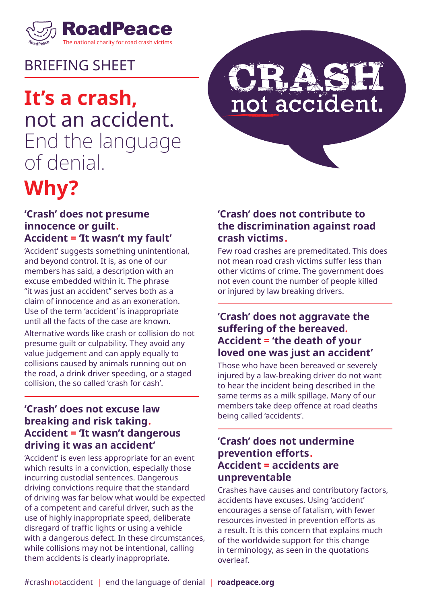

### BRIEFING SHEET

# **It's a crash,** not an accident. End the language of denial.

# **Why?**

# not accident.

#### **'Crash' does not presume innocence or guilt. Accident = 'It wasn't my fault'**

'Accident' suggests something unintentional, and beyond control. It is, as one of our members has said, a description with an excuse embedded within it. The phrase "it was just an accident" serves both as a claim of innocence and as an exoneration. Use of the term 'accident' is inappropriate until all the facts of the case are known.

Alternative words like crash or collision do not presume guilt or culpability. They avoid any value judgement and can apply equally to collisions caused by animals running out on the road, a drink driver speeding, or a staged collision, the so called 'crash for cash'.

#### **'Crash' does not excuse law breaking and risk taking. Accident = 'It wasn't dangerous driving it was an accident'**

'Accident' is even less appropriate for an event which results in a conviction, especially those incurring custodial sentences. Dangerous driving convictions require that the standard of driving was far below what would be expected of a competent and careful driver, such as the use of highly inappropriate speed, deliberate disregard of traffic lights or using a vehicle with a dangerous defect. In these circumstances, while collisions may not be intentional, calling them accidents is clearly inappropriate.

#### **'Crash' does not contribute to the discrimination against road crash victims.**

Few road crashes are premeditated. This does not mean road crash victims suffer less than other victims of crime. The government does not even count the number of people killed or injured by law breaking drivers.

#### **'Crash' does not aggravate the suffering of the bereaved. Accident = 'the death of your loved one was just an accident'**

Those who have been bereaved or severely injured by a law-breaking driver do not want to hear the incident being described in the same terms as a milk spillage. Many of our members take deep offence at road deaths being called 'accidents'.

#### **'Crash' does not undermine prevention efforts. Accident = accidents are unpreventable**

Crashes have causes and contributory factors, accidents have excuses. Using 'accident' encourages a sense of fatalism, with fewer resources invested in prevention efforts as a result. It is this concern that explains much of the worldwide support for this change in terminology, as seen in the quotations overleaf.